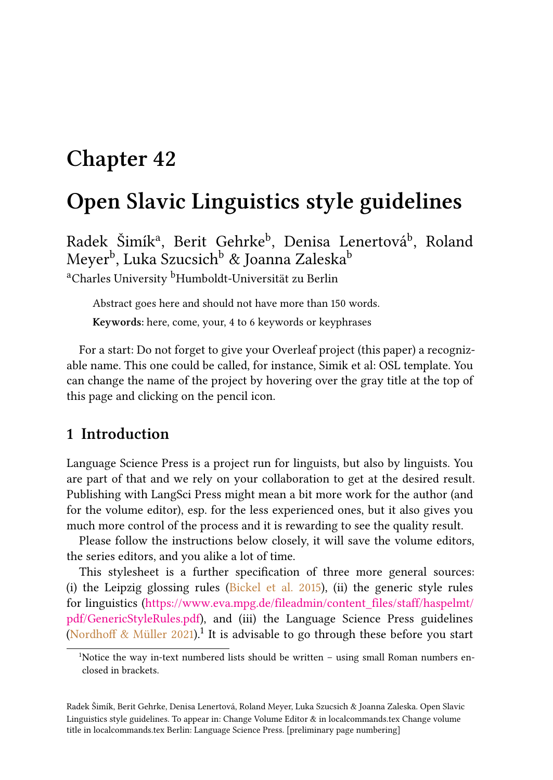# **Chapter 42**

# **Open Slavic Linguistics style guidelines**

Radek Šimík<sup>a</sup>, Berit Gehrke<sup>b</sup>, Denisa Lenertová<sup>b</sup>, Roland Meyer<sup>b</sup>, Luka Szucsich<sup>b</sup> & Joanna Zaleska<sup>b</sup> <sup>a</sup>Charles University <sup>b</sup>Humboldt-Universität zu Berlin

Abstract goes here and should not have more than 150 words. **Keywords:** here, come, your, 4 to 6 keywords or keyphrases

For a start: Do not forget to give your Overleaf project (this paper) a recognizable name. This one could be called, for instance, Simik et al: OSL template. You can change the name of the project by hovering over the gray title at the top of this page and clicking on the pencil icon.

#### **1 Introduction**

Language Science Press is a project run for linguists, but also by linguists. You are part of that and we rely on your collaboration to get at the desired result. Publishing with LangSci Press might mean a bit more work for the author (and for the volume editor), esp. for the less experienced ones, but it also gives you much more control of the process and it is rewarding to see the quality result.

Please follow the instructions below closely, it will save the volume editors, the series editors, and you alike a lot of time.

This stylesheet is a further specification of three more general sources: (i)the Leipzig glossing rules (Bickel et al.  $2015$ ), (ii) the generic style rules for linguistics([https://www.eva.mpg.de/fileadmin/content\\_files/staff/haspelmt/](https://www.eva.mpg.de/fileadmin/content_files/staff/haspelmt/pdf/GenericStyleRules.pdf) [pdf/GenericStyleRules.pdf](https://www.eva.mpg.de/fileadmin/content_files/staff/haspelmt/pdf/GenericStyleRules.pdf)), and (iii) the Language Science Press guidelines [\(Nordhoff & Müller 2021\)](#page-10-1).<sup>1</sup> It is advisable to go through these before you start

<sup>&</sup>lt;sup>1</sup>Notice the way in-text numbered lists should be written  $-$  using small Roman numbers enclosed in brackets.

Radek Šimík, Berit Gehrke, Denisa Lenertová, Roland Meyer, Luka Szucsich & Joanna Zaleska. Open Slavic Linguistics style guidelines. To appear in: Change Volume Editor & in localcommands.tex Change volume title in localcommands.tex Berlin: Language Science Press. [preliminary page numbering]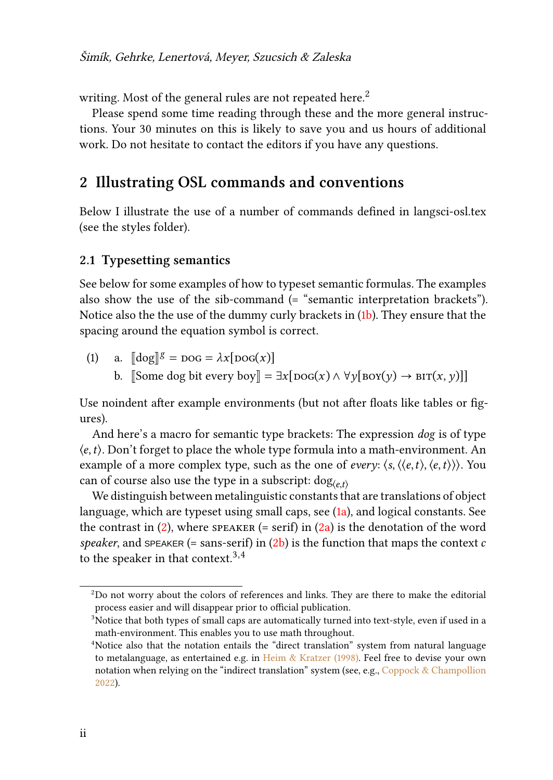writing. Most of the general rules are not repeated here.<sup>2</sup>

Please spend some time reading through these and the more general instructions. Your 30 minutes on this is likely to save you and us hours of additional work. Do not hesitate to contact the editors if you have any questions.

#### **2 Illustrating OSL commands and conventions**

Below I illustrate the use of a number of commands defined in langsci-osl.tex (see the styles folder).

#### <span id="page-1-2"></span>**2.1 Typesetting semantics**

See below for some examples of how to typeset semantic formulas. The examples also show the use of the sib-command  $($ = "semantic interpretation brackets" $)$ . Notice also the the use of the dummy curly brackets in([1b](#page-1-0)). They ensure that the spacing around the equation symbol is correct.

<span id="page-1-1"></span><span id="page-1-0"></span>(1) a. 
$$
[\![\text{dog}]\!]^g = \text{pos} = \lambda x [\text{pos}(x)]
$$
  
b.  $[\text{Some dog bit every boy}]\!] = \exists x [\text{pos}(x) \land \forall y [\text{nov}(y) \to \text{BIT}(x, y)]]$ 

Use noindent after example environments (but not after floats like tables or figures).

And here's a macro for semantic type brackets: The expression *dog* is of type  $\langle e, t \rangle$ . Don't forget to place the whole type formula into a math-environment. An example of a more complex type, such as the one of *every*:  $\langle s, \langle \langle e, t \rangle, \langle e, t \rangle \rangle$ . You can of course also use the type in a subscript:  $\log_{(et)}$ 

We distinguish between metalinguistic constants that are translations of object language, which are typeset using small caps, see [\(1a](#page-1-1)), and logical constants. See thecontrast in  $(2)$  $(2)$ , where speaker (= serif) in  $(2a)$  $(2a)$  is the denotation of the word *speaker*,and SPEAKER (= sans-serif) in  $(2b)$  $(2b)$  $(2b)$  is the function that maps the context c to the speaker in that context.<sup>3,4</sup>

<sup>2</sup>Do not worry about the colors of references and links. They are there to make the editorial process easier and will disappear prior to official publication.

<sup>&</sup>lt;sup>3</sup>Notice that both types of small caps are automatically turned into text-style, even if used in a math-environment. This enables you to use math throughout.

<sup>&</sup>lt;sup>4</sup>Notice also that the notation entails the "direct translation" system from natural language to metalanguage, as entertained e.g. in [Heim & Kratzer \(1998\).](#page-10-2) Feel free to devise your own notation when relying on the "indirect translation" system (see, e.g., [Coppock & Champollion](#page-10-3) [2022](#page-10-3)).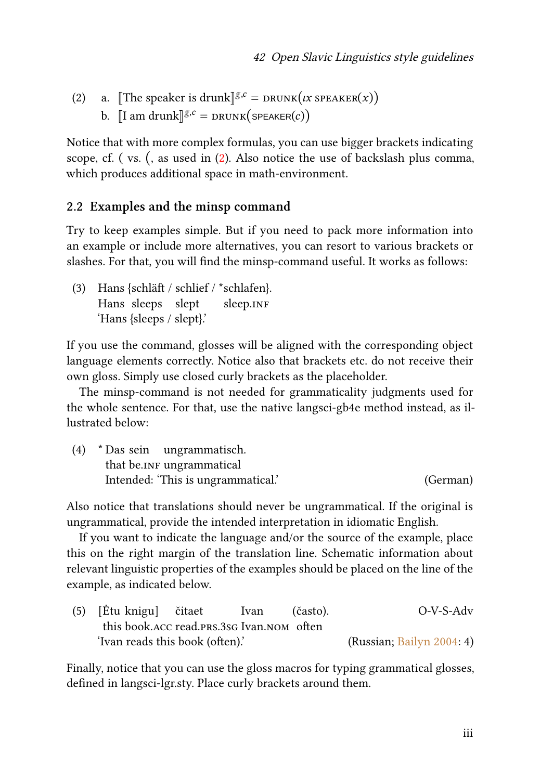- <span id="page-2-1"></span><span id="page-2-0"></span>(2) a. [The speaker is drunk] $g.c = \text{DRUNK}(tx \text{ SPEAKER}(x))$ 
	- b.  $\llbracket I \text{ am drunk} \rrbracket^{g,c} = \text{DRUNK}(\text{SPEAKER}(c))$

Notice that with more complex formulas, you can use bigger brackets indicating scope, cf. ( vs. (, as used in([2](#page-2-0)). Also notice the use of backslash plus comma, which produces additional space in math-environment.

#### **2.2 Examples and the minsp command**

Try to keep examples simple. But if you need to pack more information into an example or include more alternatives, you can resort to various brackets or slashes. For that, you will find the minsp-command useful. It works as follows:

(3) Hans {schläft / schlief / \*schlafen}. Hans sleeps slept sleep.INF 'Hans {sleeps / slept}.'

If you use the command, glosses will be aligned with the corresponding object language elements correctly. Notice also that brackets etc. do not receive their own gloss. Simply use closed curly brackets as the placeholder.

The minsp-command is not needed for grammaticality judgments used for the whole sentence. For that, use the native langsci-gb4e method instead, as illustrated below:

| (4) |                           | * Das sein ungrammatisch.          |          |
|-----|---------------------------|------------------------------------|----------|
|     | that be.INF ungrammatical |                                    |          |
|     |                           | Intended: 'This is ungrammatical.' | (German) |

Also notice that translations should never be ungrammatical. If the original is ungrammatical, provide the intended interpretation in idiomatic English.

If you want to indicate the language and/or the source of the example, place this on the right margin of the translation line. Schematic information about relevant linguistic properties of the examples should be placed on the line of the example, as indicated below.

(5) [Ėtu knigu] this book.acc read.prs.3sg Ivan.nom often čitaet Ivan (často). O-V-S-Adv 'Ivan reads this book (often).' (Russian; [Bailyn 2004](#page-9-0): 4)

Finally, notice that you can use the gloss macros for typing grammatical glosses, defined in langsci-lgr.sty. Place curly brackets around them.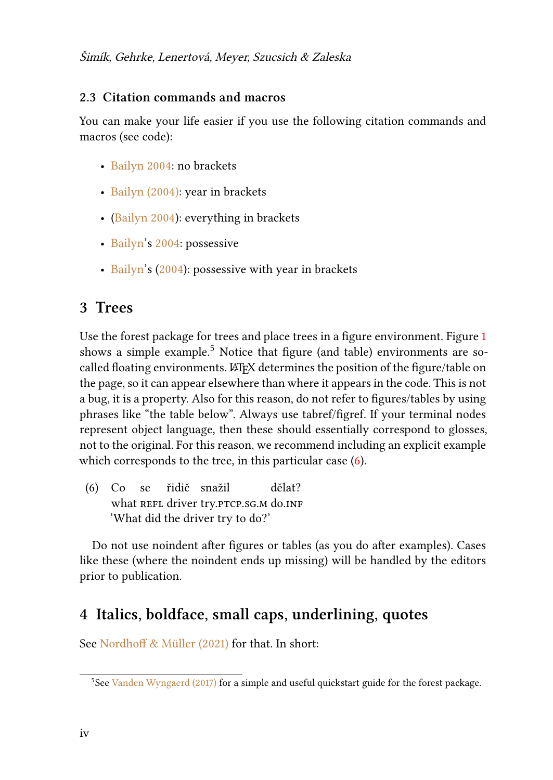#### **2.3 Citation commands and macros**

You can make your life easier if you use the following citation commands and macros (see code):

- [Bailyn 2004](#page-9-0): no brackets
- [Bailyn \(2004\):](#page-9-0) year in brackets
- ([Bailyn 2004\)](#page-9-0): everything in brackets
- [Bailyn](#page-9-0)'s [2004:](#page-9-0) possessive
- [Bailyn](#page-9-0)'s([2004\)](#page-9-0): possessive with year in brackets

## **3 Trees**

Use the forest package for trees and place trees in a figure environment. Figure [1](#page-4-0) shows a simple example.<sup>5</sup> Notice that figure (and table) environments are socalled floating environments. LATEX determines the position of the figure/table on the page, so it can appear elsewhere than where it appears in the code. This is not a bug, it is a property. Also for this reason, do not refer to figures/tables by using phrases like "the table below". Always use tabref/figref. If your terminal nodes represent object language, then these should essentially correspond to glosses, not to the original. For this reason, we recommend including an explicit example whichcorresponds to the tree, in this particular case  $(6)$  $(6)$  $(6)$ .

<span id="page-3-0"></span>(6) Co se what REFL driver try.PTCP.SG.M do.INF řidič snažil dělat? 'What did the driver try to do?'

Do not use noindent after figures or tables (as you do after examples). Cases like these (where the noindent ends up missing) will be handled by the editors prior to publication.

## **4 Italics, boldface, small caps, underlining, quotes**

See [Nordhoff & Müller \(2021\)](#page-10-1) for that. In short:

<sup>&</sup>lt;sup>5</sup>See [Vanden Wyngaerd \(2017\)](#page-10-4) for a simple and useful quickstart guide for the forest package.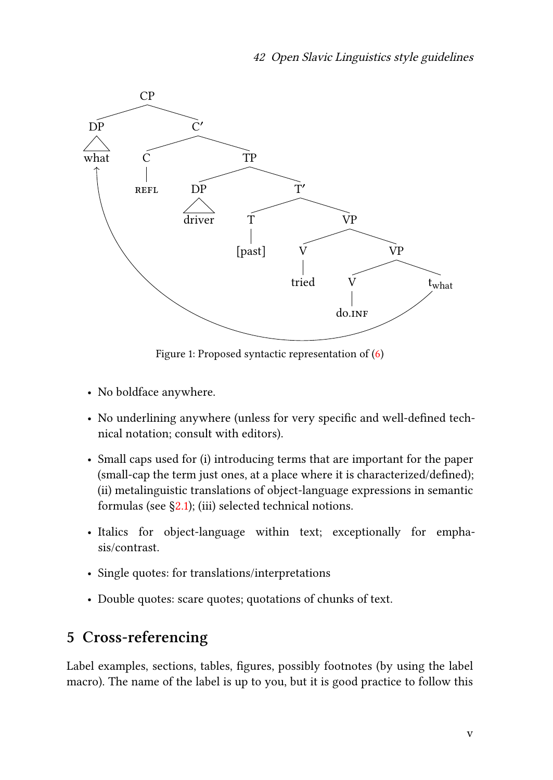<span id="page-4-0"></span>

Figure 1: Proposed syntactic representation of([6\)](#page-3-0)

- No boldface anywhere.
- No underlining anywhere (unless for very specific and well-defined technical notation; consult with editors).
- Small caps used for (i) introducing terms that are important for the paper (small-cap the term just ones, at a place where it is characterized/defined); (ii) metalinguistic translations of object-language expressions in semantic formulas (see  $\S$ [2.1](#page-1-2)); (iii) selected technical notions.
- Italics for object-language within text; exceptionally for emphasis/contrast.
- Single quotes: for translations/interpretations
- Double quotes: scare quotes; quotations of chunks of text.

# **5 Cross-referencing**

Label examples, sections, tables, figures, possibly footnotes (by using the label macro). The name of the label is up to you, but it is good practice to follow this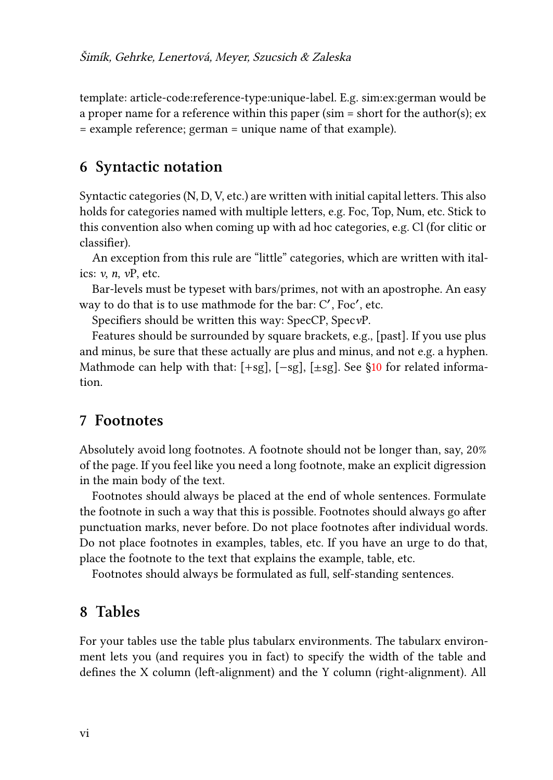template: article-code:reference-type:unique-label. E.g. sim:ex:german would be a proper name for a reference within this paper (sim = short for the author(s); ex = example reference; german = unique name of that example).

#### **6 Syntactic notation**

Syntactic categories (N, D, V, etc.) are written with initial capital letters. This also holds for categories named with multiple letters, e.g. Foc, Top, Num, etc. Stick to this convention also when coming up with ad hoc categories, e.g. Cl (for clitic or classifier).

An exception from this rule are "little" categories, which are written with italics: *v*, *n*, *v*P, etc.

Bar-levels must be typeset with bars/primes, not with an apostrophe. An easy way to do that is to use mathmode for the bar: C', Foc', etc.

Specifiers should be written this way: SpecCP, Spec*v*P.

Features should be surrounded by square brackets, e.g., [past]. If you use plus and minus, be sure that these actually are plus and minus, and not e.g. a hyphen. Mathmodecan help with that:  $[+sg]$ ,  $[-sg]$ ,  $[±sg]$ . See §[10](#page-6-0) for related information.

#### **7 Footnotes**

Absolutely avoid long footnotes. A footnote should not be longer than, say, 20% of the page. If you feel like you need a long footnote, make an explicit digression in the main body of the text.

Footnotes should always be placed at the end of whole sentences. Formulate the footnote in such a way that this is possible. Footnotes should always go after punctuation marks, never before. Do not place footnotes after individual words. Do not place footnotes in examples, tables, etc. If you have an urge to do that, place the footnote to the text that explains the example, table, etc.

Footnotes should always be formulated as full, self-standing sentences.

#### **8 Tables**

For your tables use the table plus tabularx environments. The tabularx environment lets you (and requires you in fact) to specify the width of the table and defines the X column (left-alignment) and the Y column (right-alignment). All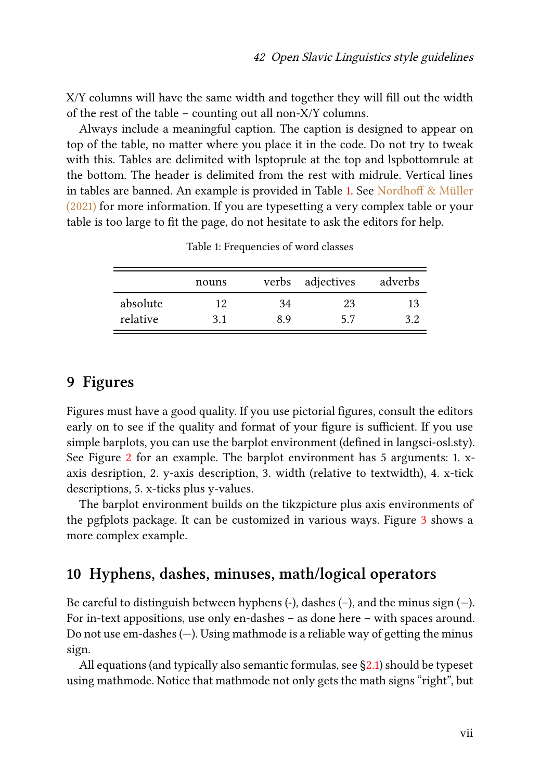X/Y columns will have the same width and together they will fill out the width of the rest of the table – counting out all non-X/Y columns.

Always include a meaningful caption. The caption is designed to appear on top of the table, no matter where you place it in the code. Do not try to tweak with this. Tables are delimited with lsptoprule at the top and lspbottomrule at the bottom. The header is delimited from the rest with midrule. Vertical lines in tables are banned. An example is provided in Table [1.](#page-6-1) See [Nordhoff & Müller](#page-10-1) [\(2021\)](#page-10-1) for more information. If you are typesetting a very complex table or your table is too large to fit the page, do not hesitate to ask the editors for help.

<span id="page-6-1"></span>

|          | nouns |    | verbs adjectives | adverbs |
|----------|-------|----|------------------|---------|
| absolute | 12    | 34 | 23               | 13      |
| relative | 3.1   | 89 | 5.7              | 39      |

Table 1: Frequencies of word classes

#### **9 Figures**

Figures must have a good quality. If you use pictorial figures, consult the editors early on to see if the quality and format of your figure is sufficient. If you use simple barplots, you can use the barplot environment (defined in langsci-osl.sty). See Figure [2](#page-7-0) for an example. The barplot environment has 5 arguments: 1. xaxis desription, 2. y-axis description, 3. width (relative to textwidth), 4. x-tick descriptions, 5. x-ticks plus y-values.

The barplot environment builds on the tikzpicture plus axis environments of the pgfplots package. It can be customized in various ways. Figure [3](#page-7-1) shows a more complex example.

### <span id="page-6-0"></span>**10 Hyphens, dashes, minuses, math/logical operators**

Be careful to distinguish between hyphens (-), dashes (–), and the minus sign (−). For in-text appositions, use only en-dashes – as done here – with spaces around. Do not use em-dashes (—). Using mathmode is a reliable way of getting the minus sign.

Allequations (and typically also semantic formulas, see  $\S 2.1$ ) should be typeset using mathmode. Notice that mathmode not only gets the math signs "right", but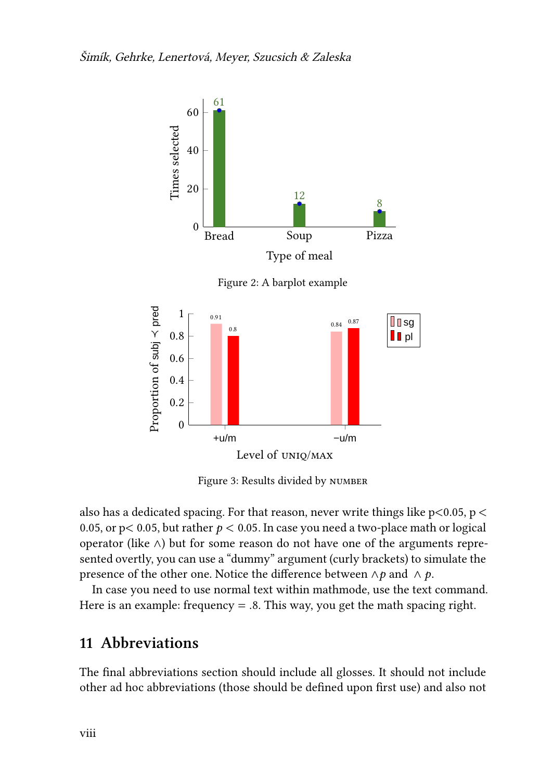<span id="page-7-0"></span>

Figure 2: A barplot example

<span id="page-7-1"></span>

Figure 3: Results divided by number

also has a dedicated spacing. For that reason, never write things like p<0.05, p < 0.05, or p< 0.05, but rather  $p < 0.05$ . In case you need a two-place math or logical operator (like ∧) but for some reason do not have one of the arguments represented overtly, you can use a "dummy" argument (curly brackets) to simulate the presence of the other one. Notice the difference between  $\land p$  and  $\land p$ .

In case you need to use normal text within mathmode, use the text command. Here is an example: frequency  $= .8$ . This way, you get the math spacing right.

### **11 Abbreviations**

The final abbreviations section should include all glosses. It should not include other ad hoc abbreviations (those should be defined upon first use) and also not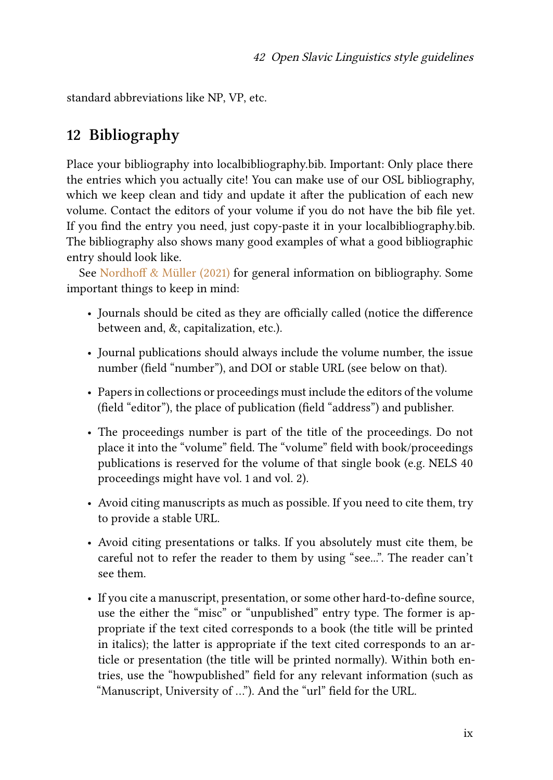standard abbreviations like NP, VP, etc.

## **12 Bibliography**

Place your bibliography into localbibliography.bib. Important: Only place there the entries which you actually cite! You can make use of our OSL bibliography, which we keep clean and tidy and update it after the publication of each new volume. Contact the editors of your volume if you do not have the bib file yet. If you find the entry you need, just copy-paste it in your localbibliography.bib. The bibliography also shows many good examples of what a good bibliographic entry should look like.

See [Nordhoff & Müller \(2021\)](#page-10-1) for general information on bibliography. Some important things to keep in mind:

- Journals should be cited as they are officially called (notice the difference between and, &, capitalization, etc.).
- Journal publications should always include the volume number, the issue number (field "number"), and DOI or stable URL (see below on that).
- Papers in collections or proceedings must include the editors of the volume (field "editor"), the place of publication (field "address") and publisher.
- The proceedings number is part of the title of the proceedings. Do not place it into the "volume" field. The "volume" field with book/proceedings publications is reserved for the volume of that single book (e.g. NELS 40 proceedings might have vol. 1 and vol. 2).
- Avoid citing manuscripts as much as possible. If you need to cite them, try to provide a stable URL.
- Avoid citing presentations or talks. If you absolutely must cite them, be careful not to refer the reader to them by using "see...". The reader can't see them.
- If you cite a manuscript, presentation, or some other hard-to-define source, use the either the "misc" or "unpublished" entry type. The former is appropriate if the text cited corresponds to a book (the title will be printed in italics); the latter is appropriate if the text cited corresponds to an article or presentation (the title will be printed normally). Within both entries, use the "howpublished" field for any relevant information (such as "Manuscript, University of …"). And the "url" field for the URL.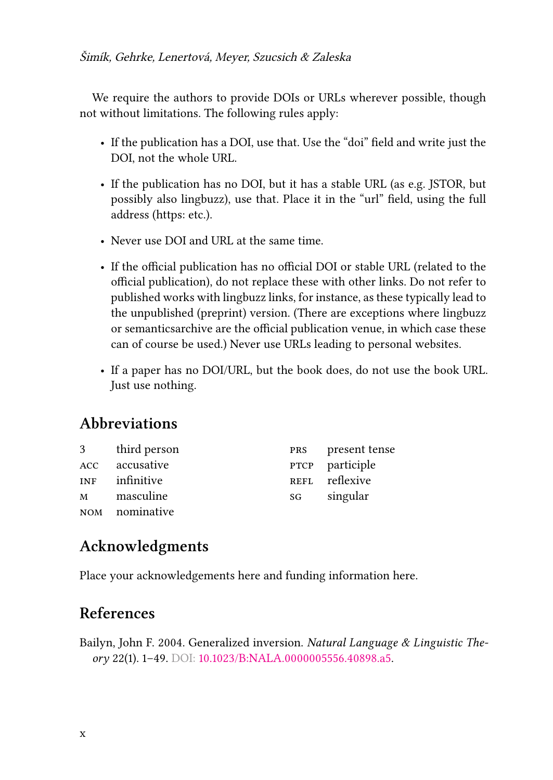We require the authors to provide DOIs or URLs wherever possible, though not without limitations. The following rules apply:

- If the publication has a DOI, use that. Use the "doi" field and write just the DOI, not the whole URL.
- If the publication has no DOI, but it has a stable URL (as e.g. JSTOR, but possibly also lingbuzz), use that. Place it in the "url" field, using the full address (https: etc.).
- Never use DOI and URL at the same time.
- If the official publication has no official DOI or stable URL (related to the official publication), do not replace these with other links. Do not refer to published works with lingbuzz links, for instance, as these typically lead to the unpublished (preprint) version. (There are exceptions where lingbuzz or semanticsarchive are the official publication venue, in which case these can of course be used.) Never use URLs leading to personal websites.
- If a paper has no DOI/URL, but the book does, do not use the book URL. Just use nothing.

## **Abbreviations**

| 3          | third person   |    | <b>PRS</b> present tense |
|------------|----------------|----|--------------------------|
| <b>ACC</b> | accusative     |    | PTCP participle          |
| <b>INF</b> | infinitive     |    | REFL reflexive           |
| M          | masculine      | SG | singular                 |
|            | NOM nominative |    |                          |

## **Acknowledgments**

Place your acknowledgements here and funding information here.

## **References**

<span id="page-9-0"></span>Bailyn, John F. 2004. Generalized inversion. *Natural Language & Linguistic Theory* 22(1). 1–49. DOI: [10.1023/B:NALA.0000005556.40898.a5.](https://doi.org/10.1023/B:NALA.0000005556.40898.a5)